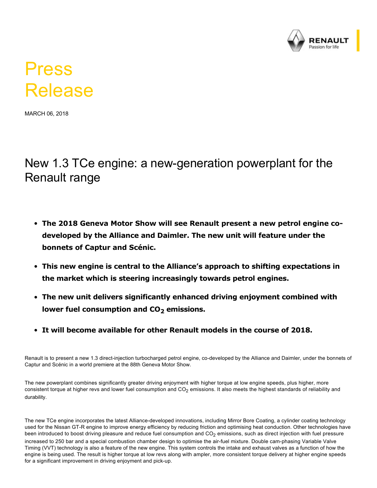

## Press Release

MARCH 06, 2018

New 1.3 TCe engine: a new-generation powerplant for the Renault range

- **The 2018 Geneva Motor Show will see Renault present a new petrol engine codeveloped by the Alliance and Daimler. The new unit will feature under the bonnets of Captur and Scénic.**
- **This new engine is central to the Alliance's approach to shifting expectations in the market which is steering increasingly towards petrol engines.**
- **The new unit delivers significantly enhanced driving enjoyment combined with lower fuel consumption and CO2 emissions.**
- **It will become available for other Renault models in the course of 2018.**

Renault is to present a new 1.3 direct-injection turbocharged petrol engine, co-developed by the Alliance and Daimler, under the bonnets of Captur and Scénic in a world premiere at the 88th Geneva Motor Show.

The new powerplant combines significantly greater driving enjoyment with higher torque at low engine speeds, plus higher, more consistent torque at higher revs and lower fuel consumption and CO<sub>2</sub> emissions. It also meets the highest standards of reliability and durability.

The new TCe engine incorporates the latest Alliance-developed innovations, including Mirror Bore Coating, a cylinder coating technology used for the Nissan GT-R engine to improve energy efficiency by reducing friction and optimising heat conduction. Other technologies have been introduced to boost driving pleasure and reduce fuel consumption and CO $_2$  emissions, such as direct injection with fuel pressure increased to 250 bar and a special combustion chamber design to optimise the air-fuel mixture. Double cam-phasing Variable Valve Timing (VVT) technology is also a feature of the new engine. This system controls the intake and exhaust valves as a function of how the engine is being used. The result is higher torque at low revs along with ampler, more consistent torque delivery at higher engine speeds for a significant improvement in driving enjoyment and pick-up.